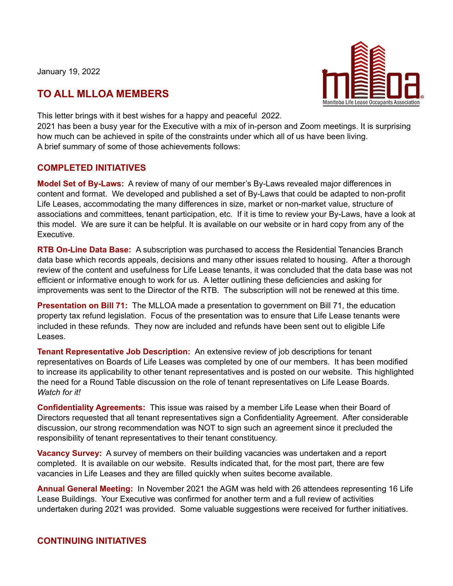January 19, 2022

## **TO ALL MLLOA MEMBERS**



This letter brings with it best wishes for a happy and peaceful 2022.

2021 has been a busy year for the Executive with a mix of in-person and Zoom meetings. It is surprising how much can be achieved in spite of the constraints under which all of us have been living. A brief summary of some of those achievements follows:

## **COMPLETED INITIATIVES**

**Model Set of By-Laws:** A review of many of our member's By-Laws revealed major differences in content and format. We developed and published a set of By-Laws that could be adapted to non-profit Life Leases, accommodating the many differences in size, market or non-market value, structure of associations and committees, tenant participation, etc. If it is time to review your By-Laws, have a look at this model. We are sure it can be helpful. It is available on our website or in hard copy from any of the Executive.

**RTB On-Line Data Base:** A subscription was purchased to access the Residential Tenancies Branch data base which records appeals, decisions and many other issues related to housing. After a thorough review of the content and usefulness for Life Lease tenants, it was concluded that the data base was not efficient or informative enough to work for us. A letter outlining these deficiencies and asking for improvements was sent to the Director of the RTB. The subscription will not be renewed at this time.

**Presentation on Bill 71:** The MLLOA made a presentation to government on Bill 71, the education property tax refund legislation. Focus of the presentation was to ensure that Life Lease tenants were included in these refunds. They now are included and refunds have been sent out to eligible Life Leases.

**Tenant Representative Job Description:** An extensive review of job descriptions for tenant representatives on Boards of Life Leases was completed by one of our members. It has been modified to increase its applicability to other tenant representatives and is posted on our website. This highlighted the need for a Round Table discussion on the role of tenant representatives on Life Lease Boards. *Watch for it!*

**Confidentiality Agreements:** This issue was raised by a member Life Lease when their Board of Directors requested that all tenant representatives sign a Confidentiality Agreement. After considerable discussion, our strong recommendation was NOT to sign such an agreement since it precluded the responsibility of tenant representatives to their tenant constituency.

**Vacancy Survey:** A survey of members on their building vacancies was undertaken and a report completed. It is available on our website. Results indicated that, for the most part, there are few vacancies in Life Leases and they are filled quickly when suites become available.

**Annual General Meeting:** In November 2021 the AGM was held with 26 attendees representing 16 Life Lease Buildings. Your Executive was confirmed for another term and a full review of activities undertaken during 2021 was provided. Some valuable suggestions were received for further initiatives.

## **CONTINUING INITIATIVES**